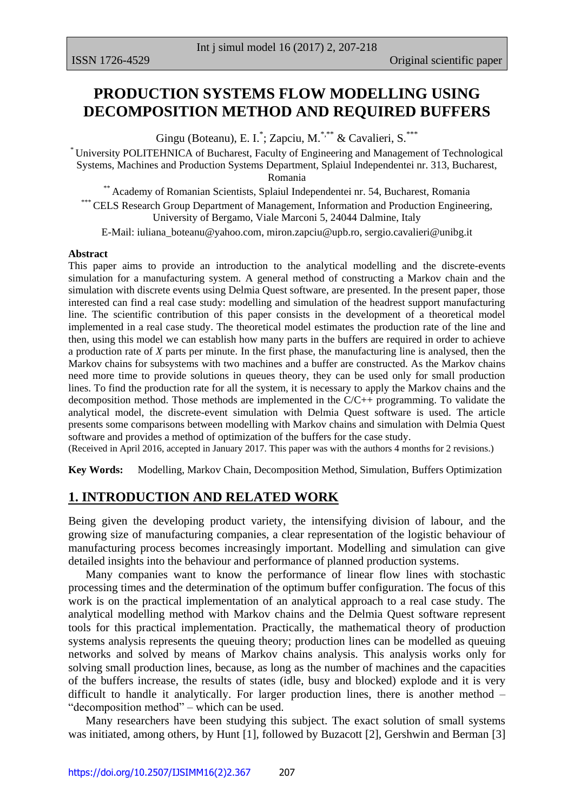## **PRODUCTION SYSTEMS FLOW MODELLING USING DECOMPOSITION METHOD AND REQUIRED BUFFERS**

Gingu (Boteanu), E. I.<sup>\*</sup>; Zapciu, M.<sup>\*,\*\*</sup> & Cavalieri, S.<sup>\*\*\*</sup>

\* University POLITEHNICA of Bucharest, Faculty of Engineering and Management of Technological Systems, Machines and Production Systems Department, Splaiul Independentei nr. 313, Bucharest, Romania

\*\* Academy of Romanian Scientists, Splaiul Independentei nr. 54, Bucharest, Romania \*\*\* CELS Research Group Department of Management, Information and Production Engineering, University of Bergamo, Viale Marconi 5, 24044 Dalmine, Italy

E-Mail: [iuliana\\_boteanu@yahoo.com,](mailto:iuliana_boteanu@yahoo.com) [miron.zapciu@upb.ro,](mailto:miron.zapciu@upb.ro) [sergio.cavalieri@unibg.it](mailto:sergio.cavalieri@unibg.it)

#### **Abstract**

This paper aims to provide an introduction to the analytical modelling and the discrete-events simulation for a manufacturing system. A general method of constructing a Markov chain and the simulation with discrete events using Delmia Quest software, are presented. In the present paper, those interested can find a real case study: modelling and simulation of the headrest support manufacturing line. The scientific contribution of this paper consists in the development of a theoretical model implemented in a real case study. The theoretical model estimates the production rate of the line and then, using this model we can establish how many parts in the buffers are required in order to achieve a production rate of *X* parts per minute. In the first phase, the manufacturing line is analysed, then the Markov chains for subsystems with two machines and a buffer are constructed. As the Markov chains need more time to provide solutions in queues theory, they can be used only for small production lines. To find the production rate for all the system, it is necessary to apply the Markov chains and the decomposition method. Those methods are implemented in the  $C/C++$  programming. To validate the analytical model, the discrete-event simulation with Delmia Quest software is used. The article presents some comparisons between modelling with Markov chains and simulation with Delmia Quest software and provides a method of optimization of the buffers for the case study.

(Received in April 2016, accepted in January 2017. This paper was with the authors 4 months for 2 revisions.)

**Key Words:** Modelling, Markov Chain, Decomposition Method, Simulation, Buffers Optimization

### **1. INTRODUCTION AND RELATED WORK**

Being given the developing product variety, the intensifying division of labour, and the growing size of manufacturing companies, a clear representation of the logistic behaviour of manufacturing process becomes increasingly important. Modelling and simulation can give detailed insights into the behaviour and performance of planned production systems.

 Many companies want to know the performance of linear flow lines with stochastic processing times and the determination of the optimum buffer configuration. The focus of this work is on the practical implementation of an analytical approach to a real case study. The analytical modelling method with Markov chains and the Delmia Quest software represent tools for this practical implementation. Practically, the mathematical theory of production systems analysis represents the queuing theory; production lines can be modelled as queuing networks and solved by means of Markov chains analysis. This analysis works only for solving small production lines, because, as long as the number of machines and the capacities of the buffers increase, the results of states (idle, busy and blocked) explode and it is very difficult to handle it analytically. For larger production lines, there is another method – "decomposition method" – which can be used.

 Many researchers have been studying this subject. The exact solution of small systems was initiated, among others, by Hunt [1], followed by Buzacott [2], Gershwin and Berman [3]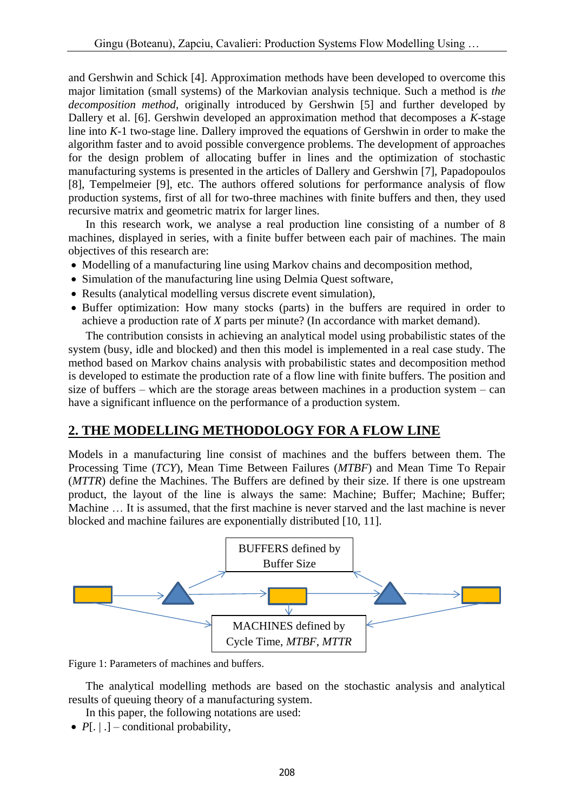and Gershwin and Schick [4]. Approximation methods have been developed to overcome this major limitation (small systems) of the Markovian analysis technique. Such a method is *the decomposition method*, originally introduced by Gershwin [5] and further developed by Dallery et al. [6]. Gershwin developed an approximation method that decomposes a *K*-stage line into *K*-1 two-stage line. Dallery improved the equations of Gershwin in order to make the algorithm faster and to avoid possible convergence problems. The development of approaches for the design problem of allocating buffer in lines and the optimization of stochastic manufacturing systems is presented in the articles of Dallery and Gershwin [7], Papadopoulos [8], Tempelmeier [9], etc. The authors offered solutions for performance analysis of flow production systems, first of all for two-three machines with finite buffers and then, they used recursive matrix and geometric matrix for larger lines.

 In this research work, we analyse a real production line consisting of a number of 8 machines, displayed in series, with a finite buffer between each pair of machines. The main objectives of this research are:

- Modelling of a manufacturing line using Markov chains and decomposition method,
- Simulation of the manufacturing line using Delmia Quest software,
- Results (analytical modelling versus discrete event simulation),
- Buffer optimization: How many stocks (parts) in the buffers are required in order to achieve a production rate of *X* parts per minute? (In accordance with market demand).

 The contribution consists in achieving an analytical model using probabilistic states of the system (busy, idle and blocked) and then this model is implemented in a real case study. The method based on Markov chains analysis with probabilistic states and decomposition method is developed to estimate the production rate of a flow line with finite buffers. The position and size of buffers – which are the storage areas between machines in a production system – can have a significant influence on the performance of a production system.

## **2. THE MODELLING METHODOLOGY FOR A FLOW LINE**

Models in a manufacturing line consist of machines and the buffers between them. The Processing Time (*TCY*), Mean Time Between Failures (*MTBF*) and Mean Time To Repair (*MTTR*) define the Machines. The Buffers are defined by their size. If there is one upstream product, the layout of the line is always the same: Machine; Buffer; Machine; Buffer; Machine … It is assumed, that the first machine is never starved and the last machine is never blocked and machine failures are exponentially distributed [10, 11].



Figure 1: Parameters of machines and buffers.

 The analytical modelling methods are based on the stochastic analysis and analytical results of queuing theory of a manufacturing system.

In this paper, the following notations are used:

•  $P[\_ \ ]$  – conditional probability,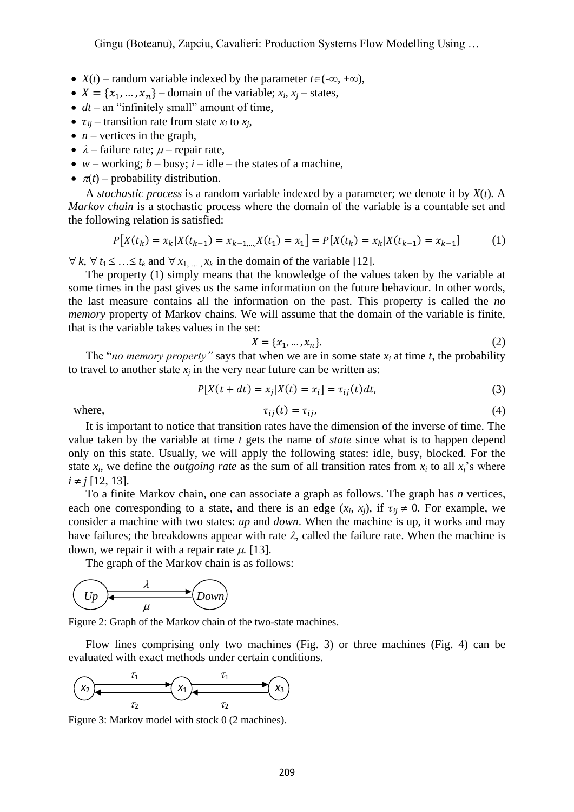- $X(t)$  random variable indexed by the parameter  $t \in (-\infty, +\infty)$ ,
- $X = \{x_1, ..., x_n\}$  domain of the variable;  $x_i$ ,  $x_j$  states,
- *dt* an "infinitely small" amount of time,
- $\tau_{ii}$  transition rate from state  $x_i$  to  $x_i$ ,
- $\bullet$  *n* vertices in the graph,
- $\lambda$  failure rate;  $\mu$  repair rate,
- $w$  working;  $b$  busy;  $i$  idle the states of a machine,
- $\pi(t)$  probability distribution.

 A *stochastic process* is a random variable indexed by a parameter; we denote it by *X*(*t*)*.* A *Markov chain* is a stochastic process where the domain of the variable is a countable set and the following relation is satisfied:

$$
P[X(t_k) = x_k | X(t_{k-1}) = x_{k-1,\dots,X}(t_1) = x_1] = P[X(t_k) = x_k | X(t_{k-1}) = x_{k-1}] \tag{1}
$$

 $\forall k, \forall t_1 \leq \ldots \leq t_k$  and  $\forall x_1, \ldots, x_k$  in the domain of the variable [12].

 The property (1) simply means that the knowledge of the values taken by the variable at some times in the past gives us the same information on the future behaviour. In other words, the last measure contains all the information on the past. This property is called the *no memory* property of Markov chains. We will assume that the domain of the variable is finite, that is the variable takes values in the set:

$$
X = \{x_1, \dots, x_n\}.\tag{2}
$$

The "*no memory property*" says that when we are in some state  $x_i$  at time  $t$ , the probability to travel to another state  $x_i$  in the very near future can be written as:

$$
P[X(t + dt) = x_j | X(t) = x_i] = \tau_{ij}(t)dt,
$$
\n(3)

where, 
$$
\tau_{ij}(t) = \tau_{ij}, \qquad (4)
$$

 It is important to notice that transition rates have the dimension of the inverse of time. The value taken by the variable at time *t* gets the name of *state* since what is to happen depend only on this state. Usually, we will apply the following states: idle, busy, blocked. For the state  $x_i$ , we define the *outgoing rate* as the sum of all transition rates from  $x_i$  to all  $x_i$ 's where  $i \neq j$  [12, 13].

 To a finite Markov chain, one can associate a graph as follows. The graph has *n* vertices, each one corresponding to a state, and there is an edge  $(x_i, x_j)$ , if  $\tau_{ij} \neq 0$ . For example, we consider a machine with two states: *up* and *down*. When the machine is up, it works and may have failures; the breakdowns appear with rate  $\lambda$ , called the failure rate. When the machine is down, we repair it with a repair rate  $\mu$ . [13].

The graph of the Markov chain is as follows:



Figure 2: Graph of the Markov chain of the two-state machines.

 Flow lines comprising only two machines (Fig. 3) or three machines (Fig. 4) can be evaluated with exact methods under certain conditions.



Figure 3: Markov model with stock 0 (2 machines).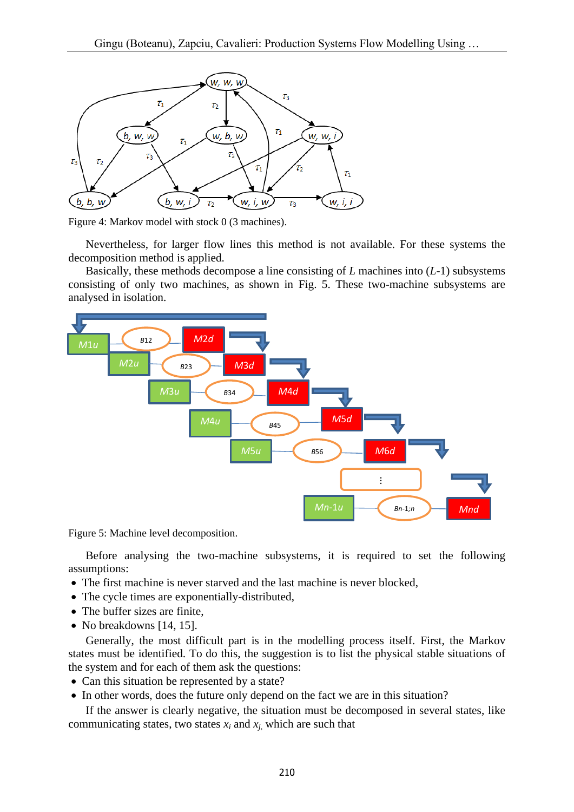

Figure 4: Markov model with stock 0 (3 machines).

 Nevertheless, for larger flow lines this method is not available. For these systems the decomposition method is applied.

 Basically, these methods decompose a line consisting of *L* machines into (*L*-1) subsystems consisting of only two machines, as shown in Fig. 5. These two-machine subsystems are analysed in isolation.



Figure 5: Machine level decomposition.

 Before analysing the two-machine subsystems, it is required to set the following assumptions:

- The first machine is never starved and the last machine is never blocked,
- The cycle times are exponentially-distributed,
- The buffer sizes are finite,
- No breakdowns [14, 15].

 Generally, the most difficult part is in the modelling process itself. First, the Markov states must be identified. To do this, the suggestion is to list the physical stable situations of the system and for each of them ask the questions:

- Can this situation be represented by a state?
- In other words, does the future only depend on the fact we are in this situation?

 If the answer is clearly negative, the situation must be decomposed in several states, like communicating states, two states  $x_i$  and  $x_j$ , which are such that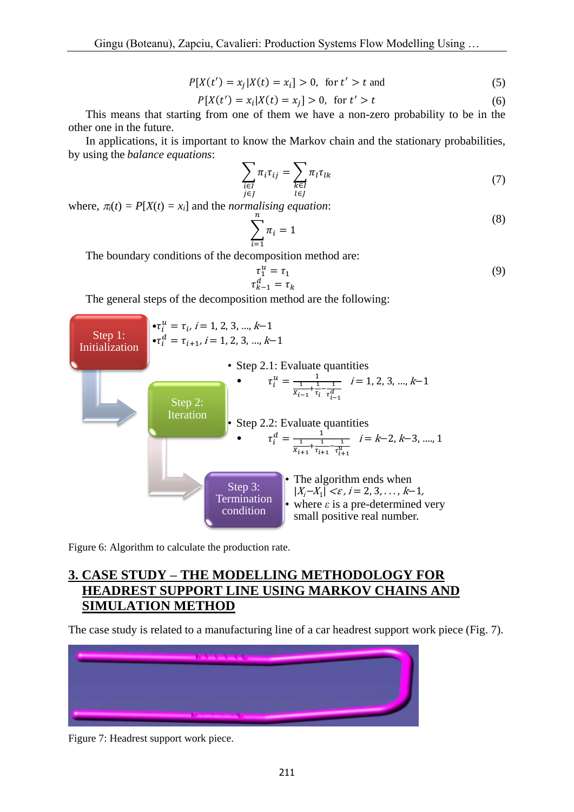$$
P[X(t') = x_j | X(t) = x_i] > 0, \text{ for } t' > t \text{ and } (5)
$$

$$
P[X(t') = x_i | X(t) = x_j] > 0, \text{ for } t' > t
$$
 (6)

 This means that starting from one of them we have a non-zero probability to be in the other one in the future.

 In applications, it is important to know the Markov chain and the stationary probabilities, by using the *balance equations*:

$$
\sum_{\substack{i \in I \\ j \in J}} \pi_i \tau_{ij} = \sum_{\substack{k \in I \\ l \in J}} \pi_l \tau_{lk} \tag{7}
$$

where,  $\pi_i(t) = P[X(t) = x_i]$  and the *normalising equation*:

$$
\sum_{i=1}^{n} \pi_i = 1 \tag{8}
$$

The boundary conditions of the decomposition method are:

$$
\tau_1^u = \tau_1
$$
  
\n
$$
\tau_{k-1}^d = \tau_k
$$
\n(9)

The general steps of the decomposition method are the following:



Figure 6: Algorithm to calculate the production rate.

## **3. CASE STUDY – THE MODELLING METHODOLOGY FOR HEADREST SUPPORT LINE USING MARKOV CHAINS AND SIMULATION METHOD**

The case study is related to a manufacturing line of a car headrest support work piece (Fig. 7).



Figure 7: Headrest support work piece.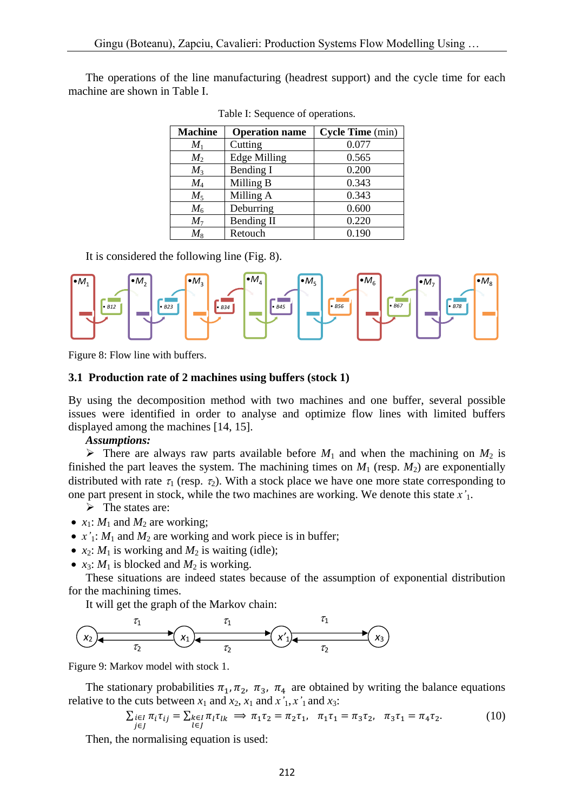The operations of the line manufacturing (headrest support) and the cycle time for each machine are shown in Table I.

| <b>Machine</b> | <b>Operation name</b> | <b>Cycle Time</b> (min) |
|----------------|-----------------------|-------------------------|
| $M_1$          | Cutting               | 0.077                   |
| $M_2$          | <b>Edge Milling</b>   | 0.565                   |
| $M_3$          | Bending I             | 0.200                   |
| $M_4$          | Milling B             | 0.343                   |
| $M_5$          | Milling A             | 0.343                   |
| $M_6$          | Deburring             | 0.600                   |
| $M_7$          | <b>Bending II</b>     | 0.220                   |
| $M_{8}$        | Retouch               | 0.190                   |

Table I: Sequence of operations.

It is considered the following line (Fig. 8).



Figure 8: Flow line with buffers.

#### **3.1 Production rate of 2 machines using buffers (stock 1)**

By using the decomposition method with two machines and one buffer, several possible issues were identified in order to analyse and optimize flow lines with limited buffers displayed among the machines [14, 15].

#### *Assumptions:*

 $\triangleright$  There are always raw parts available before  $M_1$  and when the machining on  $M_2$  is finished the part leaves the system. The machining times on  $M_1$  (resp.  $M_2$ ) are exponentially distributed with rate  $\tau_1$  (resp.  $\tau_2$ ). With a stock place we have one more state corresponding to one part present in stock, while the two machines are working. We denote this state *x'*1.

 $\triangleright$  The states are:

- $x_1$ :  $M_1$  and  $M_2$  are working;
- $x'$ <sub>1</sub>:  $M_1$  and  $M_2$  are working and work piece is in buffer;
- $x_2$ :  $M_1$  is working and  $M_2$  is waiting (idle);
- $x_3$ :  $M_1$  is blocked and  $M_2$  is working.

 These situations are indeed states because of the assumption of exponential distribution for the machining times.

It will get the graph of the Markov chain:



Figure 9: Markov model with stock 1.

The stationary probabilities  $\pi_1, \pi_2, \pi_3, \pi_4$  are obtained by writing the balance equations relative to the cuts between  $x_1$  and  $x_2$ ,  $x_1$  and  $x'_1$ ,  $x'_1$  and  $x_3$ :

$$
\sum_{j \in J} \pi_i \tau_{ij} = \sum_{l \in J} \pi_l \tau_{lk} \implies \pi_1 \tau_2 = \pi_2 \tau_1, \quad \pi_1 \tau_1 = \pi_3 \tau_2, \quad \pi_3 \tau_1 = \pi_4 \tau_2. \tag{10}
$$

Then, the normalising equation is used: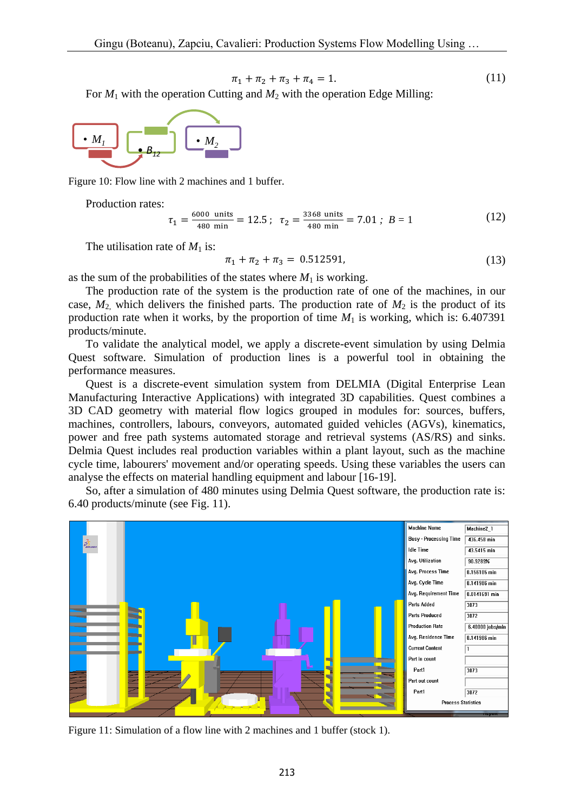$$
\pi_1 + \pi_2 + \pi_3 + \pi_4 = 1. \tag{11}
$$

For  $M_1$  with the operation Cutting and  $M_2$  with the operation Edge Milling:



Figure 10: Flow line with 2 machines and 1 buffer.

Production rates:

$$
\tau_1 = \frac{6000 \text{ units}}{480 \text{ min}} = 12.5 \; ; \; \tau_2 = \frac{3368 \text{ units}}{480 \text{ min}} = 7.01 \; ; \; B = 1 \tag{12}
$$

The utilisation rate of  $M_1$  is:

$$
\pi_1 + \pi_2 + \pi_3 = 0.512591,\tag{13}
$$

as the sum of the probabilities of the states where  $M_1$  is working.

 The production rate of the system is the production rate of one of the machines, in our case,  $M_2$  which delivers the finished parts. The production rate of  $M_2$  is the product of its production rate when it works, by the proportion of time  $M_1$  is working, which is: 6.407391 products/minute.

 To validate the analytical model, we apply a discrete-event simulation by using Delmia Quest software. Simulation of production lines is a powerful tool in obtaining the performance measures.

 Quest is a discrete-event simulation system from DELMIA (Digital Enterprise Lean Manufacturing Interactive Applications) with integrated 3D capabilities. Quest combines a 3D CAD geometry with material flow logics grouped in modules for: sources, buffers, machines, controllers, labours, conveyors, automated guided vehicles (AGVs), kinematics, power and free path systems automated storage and retrieval systems (AS/RS) and sinks. Delmia Quest includes real production variables within a plant layout, such as the machine cycle time, labourers' movement and/or operating speeds. Using these variables the users can analyse the effects on material handling equipment and labour [16-19].

 So, after a simulation of 480 minutes using Delmia Quest software, the production rate is: 6.40 products/minute (see Fig. 11).



Figure 11: Simulation of a flow line with 2 machines and 1 buffer (stock 1).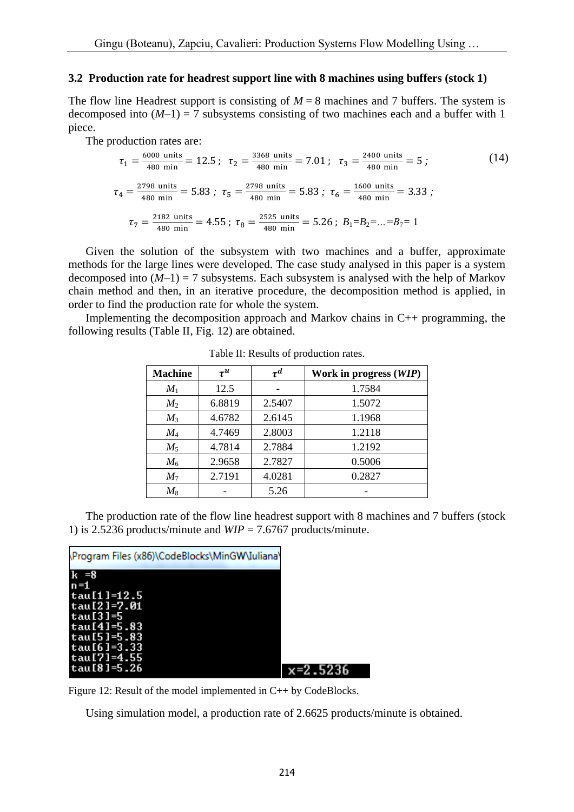### **3.2 Production rate for headrest support line with 8 machines using buffers (stock 1)**

The flow line Headrest support is consisting of  $M = 8$  machines and 7 buffers. The system is decomposed into  $(M-1) = 7$  subsystems consisting of two machines each and a buffer with 1 piece.

The production rates are:

$$
\tau_1 = \frac{6000 \text{ units}}{480 \text{ min}} = 12.5 \, ; \quad \tau_2 = \frac{3368 \text{ units}}{480 \text{ min}} = 7.01 \, ; \quad \tau_3 = \frac{2400 \text{ units}}{480 \text{ min}} = 5 \, ; \tag{14}
$$
\n
$$
\tau_4 = \frac{2798 \text{ units}}{480 \text{ min}} = 5.83 \, ; \quad \tau_5 = \frac{2798 \text{ units}}{480 \text{ min}} = 5.83 \, ; \quad \tau_6 = \frac{1600 \text{ units}}{480 \text{ min}} = 3.33 \, ; \tag{14}
$$
\n
$$
\tau_7 = \frac{2182 \text{ units}}{480 \text{ min}} = 4.55 \, ; \quad \tau_8 = \frac{2525 \text{ units}}{480 \text{ min}} = 5.26 \, ; \quad B_1 = B_2 = \dots = B_7 = 1
$$

 Given the solution of the subsystem with two machines and a buffer, approximate methods for the large lines were developed. The case study analysed in this paper is a system decomposed into  $(M-1) = 7$  subsystems. Each subsystem is analysed with the help of Markov chain method and then, in an iterative procedure, the decomposition method is applied, in order to find the production rate for whole the system.

 Implementing the decomposition approach and Markov chains in C++ programming, the following results (Table II, Fig. 12) are obtained.

| <b>Machine</b> | $\tau^u$ | $\tau^d$ | Work in progress (WIP) |
|----------------|----------|----------|------------------------|
| $M_1$          | 12.5     |          | 1.7584                 |
| $M_2$          | 6.8819   | 2.5407   | 1.5072                 |
| $M_3$          | 4.6782   | 2.6145   | 1.1968                 |
| $M_4$          | 4.7469   | 2.8003   | 1.2118                 |
| $M_5$          | 4.7814   | 2.7884   | 1.2192                 |
| $M_6$          | 2.9658   | 2.7827   | 0.5006                 |
| $M_7$          | 2.7191   | 4.0281   | 0.2827                 |
| $M_8$          |          | 5.26     |                        |

Table II: Results of production rates.

 The production rate of the flow line headrest support with 8 machines and 7 buffers (stock 1) is 2.5236 products/minute and *WIP* = 7.6767 products/minute.

| \Program Files (x86)\CodeBlocks\MinGW\Iuliana\ |          |
|------------------------------------------------|----------|
| $k = 8$                                        |          |
| $n=1$<br>$tau(11=12.5$                         |          |
| tau[2]=7.01<br>tau $[3]$ =5                    |          |
| $tau(4] = 5.83$<br>$tau(51=5.83$               |          |
| tau $[6] = 3.33$<br>tau[7]=4.55                |          |
| tau [8]=5.26                                   | x=2.5236 |

Figure 12: Result of the model implemented in C++ by CodeBlocks.

Using simulation model, a production rate of 2.6625 products/minute is obtained.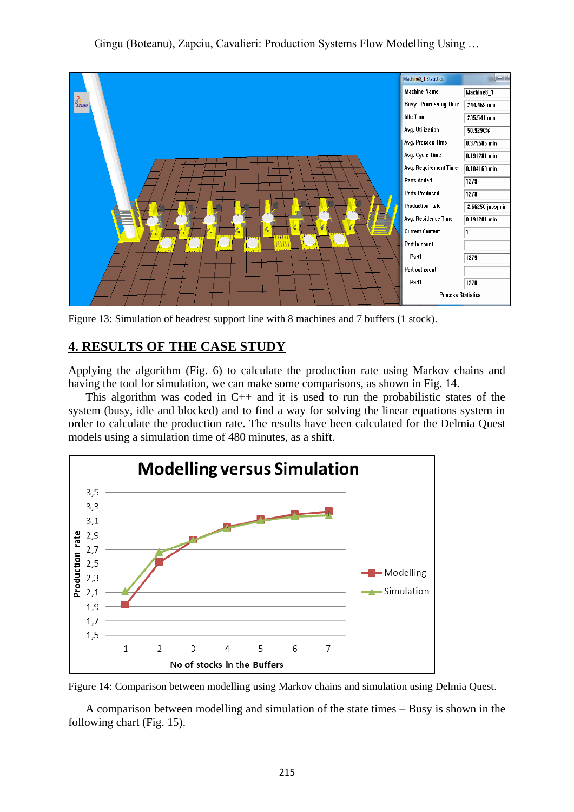

Figure 13: Simulation of headrest support line with 8 machines and 7 buffers (1 stock).

# **4. RESULTS OF THE CASE STUDY**

Applying the algorithm (Fig. 6) to calculate the production rate using Markov chains and having the tool for simulation, we can make some comparisons, as shown in Fig. 14.

This algorithm was coded in  $C_{++}$  and it is used to run the probabilistic states of the system (busy, idle and blocked) and to find a way for solving the linear equations system in order to calculate the production rate. The results have been calculated for the Delmia Quest models using a simulation time of 480 minutes, as a shift.



Figure 14: Comparison between modelling using Markov chains and simulation using Delmia Quest.

 A comparison between modelling and simulation of the state times – Busy is shown in the following chart (Fig. 15).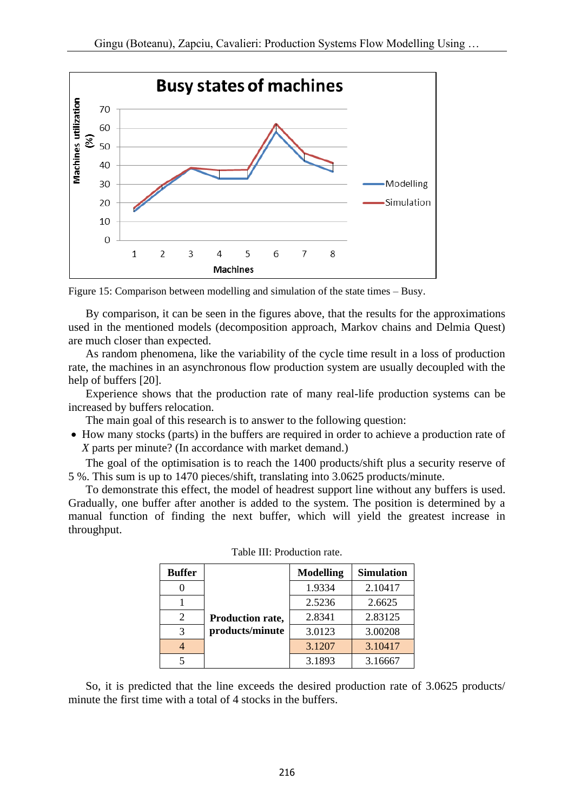

Figure 15: Comparison between modelling and simulation of the state times – Busy.

 By comparison, it can be seen in the figures above, that the results for the approximations used in the mentioned models (decomposition approach, Markov chains and Delmia Quest) are much closer than expected.

 As random phenomena, like the variability of the cycle time result in a loss of production rate, the machines in an asynchronous flow production system are usually decoupled with the help of buffers [20].

 Experience shows that the production rate of many real-life production systems can be increased by buffers relocation.

The main goal of this research is to answer to the following question:

• How many stocks (parts) in the buffers are required in order to achieve a production rate of *X* parts per minute? (In accordance with market demand.)

 The goal of the optimisation is to reach the 1400 products/shift plus a security reserve of 5 %. This sum is up to 1470 pieces/shift, translating into 3.0625 products/minute.

 To demonstrate this effect, the model of headrest support line without any buffers is used. Gradually, one buffer after another is added to the system. The position is determined by a manual function of finding the next buffer, which will yield the greatest increase in throughput.

| <b>Buffer</b> |                  | <b>Modelling</b> | <b>Simulation</b> |
|---------------|------------------|------------------|-------------------|
|               |                  | 1.9334           | 2.10417           |
|               |                  | 2.5236           | 2.6625            |
| 2             | Production rate, | 2.8341           | 2.83125           |
| 3             | products/minute  | 3.0123           | 3.00208           |
|               |                  | 3.1207           | 3.10417           |
|               |                  | 3.1893           | 3.16667           |

Table III: Production rate.

 So, it is predicted that the line exceeds the desired production rate of 3.0625 products/ minute the first time with a total of 4 stocks in the buffers.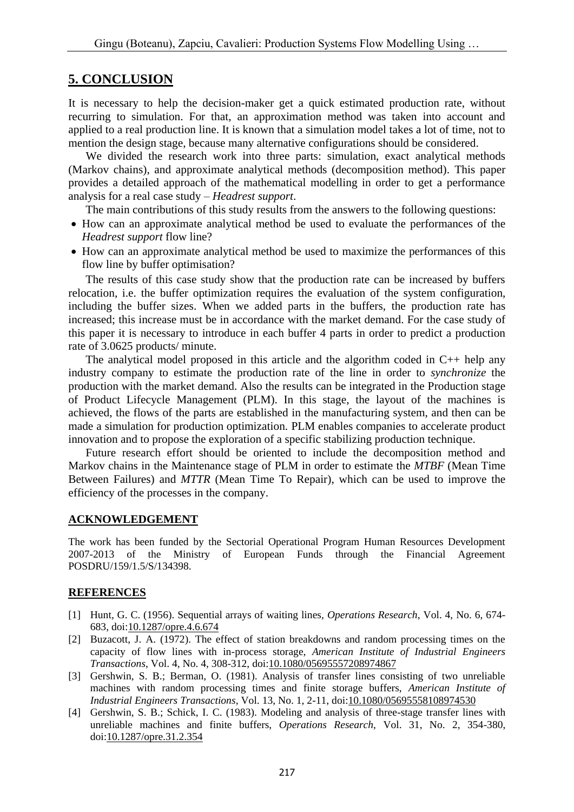### **5. CONCLUSION**

It is necessary to help the decision-maker get a quick estimated production rate, without recurring to simulation. For that, an approximation method was taken into account and applied to a real production line. It is known that a simulation model takes a lot of time, not to mention the design stage, because many alternative configurations should be considered.

We divided the research work into three parts: simulation, exact analytical methods (Markov chains), and approximate analytical methods (decomposition method). This paper provides a detailed approach of the mathematical modelling in order to get a performance analysis for a real case study – *Headrest support*.

The main contributions of this study results from the answers to the following questions:

- How can an approximate analytical method be used to evaluate the performances of the *Headrest support* flow line?
- How can an approximate analytical method be used to maximize the performances of this flow line by buffer optimisation?

 The results of this case study show that the production rate can be increased by buffers relocation, i.e. the buffer optimization requires the evaluation of the system configuration, including the buffer sizes. When we added parts in the buffers, the production rate has increased; this increase must be in accordance with the market demand. For the case study of this paper it is necessary to introduce in each buffer 4 parts in order to predict a production rate of 3.0625 products/ minute.

The analytical model proposed in this article and the algorithm coded in  $C_{++}$  help any industry company to estimate the production rate of the line in order to *synchronize* the production with the market demand. Also the results can be integrated in the Production stage of Product Lifecycle Management (PLM). In this stage, the layout of the machines is achieved, the flows of the parts are established in the manufacturing system, and then can be made a simulation for production optimization. PLM enables companies to accelerate product innovation and to propose the exploration of a specific stabilizing production technique.

 Future research effort should be oriented to include the decomposition method and Markov chains in the Maintenance stage of PLM in order to estimate the *MTBF* (Mean Time Between Failures) and *MTTR* (Mean Time To Repair), which can be used to improve the efficiency of the processes in the company.

### **ACKNOWLEDGEMENT**

The work has been funded by the Sectorial Operational Program Human Resources Development 2007-2013 of the Ministry of European Funds through the Financial Agreement POSDRU/159/1.5/S/134398.

### **REFERENCES**

- [1] Hunt, G. C. (1956). Sequential arrays of waiting lines, *Operations Research*, Vol. 4, No. 6, 674- 683, doi[:10.1287/opre.4.6.674](https://doi.org/10.1287/opre.4.6.674)
- [2] Buzacott, J. A. (1972). The effect of station breakdowns and random processing times on the capacity of flow lines with in-process storage, *American Institute of Industrial Engineers Transactions*, Vol. 4, No. 4, 308-312, doi[:10.1080/05695557208974867](https://doi.org/10.1080/05695557208974867)
- [3] Gershwin, S. B.; Berman, O. (1981). Analysis of transfer lines consisting of two unreliable machines with random processing times and finite storage buffers, *American Institute of Industrial Engineers Transactions*, Vol. 13, No. 1, 2-11, doi[:10.1080/05695558108974530](https://doi.org/10.1080/05695558108974530)
- [4] Gershwin, S. B.; Schick, I. C. (1983). Modeling and analysis of three-stage transfer lines with unreliable machines and finite buffers, *Operations Research*, Vol. 31, No. 2, 354-380, doi[:10.1287/opre.31.2.354](https://doi.org/10.1287/opre.31.2.354)